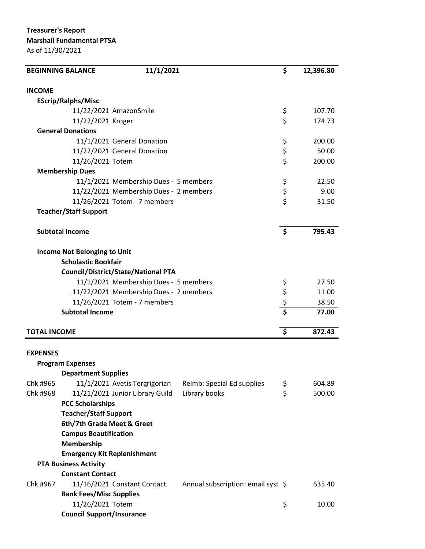Treasurer's Report Marshall Fundamental PTSA

As of 11/30/2021

|                        | <b>BEGINNING BALANCE</b>                   | 11/1/2021                              |                                    | \$                   | 12,396.80 |
|------------------------|--------------------------------------------|----------------------------------------|------------------------------------|----------------------|-----------|
| <b>INCOME</b>          |                                            |                                        |                                    |                      |           |
|                        | <b>EScrip/Ralphs/Misc</b>                  |                                        |                                    |                      |           |
|                        | 11/22/2021 AmazonSmile                     |                                        |                                    | \$                   | 107.70    |
|                        | 11/22/2021 Kroger                          |                                        |                                    | \$                   | 174.73    |
|                        | <b>General Donations</b>                   |                                        |                                    |                      |           |
|                        |                                            | 11/1/2021 General Donation             |                                    | \$                   | 200.00    |
|                        | 11/22/2021 General Donation                |                                        |                                    | \$<br>\$             | 50.00     |
|                        | 11/26/2021 Totem                           |                                        |                                    |                      | 200.00    |
|                        | <b>Membership Dues</b>                     |                                        |                                    |                      |           |
|                        |                                            | 11/1/2021 Membership Dues - 5 members  |                                    | \$                   | 22.50     |
|                        |                                            | 11/22/2021 Membership Dues - 2 members |                                    | \$                   | 9.00      |
|                        |                                            | 11/26/2021 Totem - 7 members           |                                    | Ś                    | 31.50     |
|                        | <b>Teacher/Staff Support</b>               |                                        |                                    |                      |           |
| <b>Subtotal Income</b> |                                            |                                        |                                    | \$                   | 795.43    |
|                        |                                            |                                        |                                    |                      |           |
|                        | <b>Income Not Belonging to Unit</b>        |                                        |                                    |                      |           |
|                        | <b>Scholastic Bookfair</b>                 |                                        |                                    |                      |           |
|                        | <b>Council/District/State/National PTA</b> |                                        |                                    |                      |           |
|                        |                                            | 11/1/2021 Membership Dues - 5 members  |                                    |                      | 27.50     |
|                        |                                            | 11/22/2021 Membership Dues - 2 members |                                    |                      | 11.00     |
|                        |                                            | 11/26/2021 Totem - 7 members           |                                    | \$<br>\$<br>\$<br>\$ | 38.50     |
|                        | <b>Subtotal Income</b>                     |                                        |                                    |                      | 77.00     |
| <b>TOTAL INCOME</b>    |                                            |                                        |                                    | \$                   | 872.43    |
|                        |                                            |                                        |                                    |                      |           |
| <b>EXPENSES</b>        |                                            |                                        |                                    |                      |           |
|                        | <b>Program Expenses</b>                    |                                        |                                    |                      |           |
|                        | <b>Department Supplies</b>                 |                                        |                                    |                      |           |
| Chk #965               |                                            | 11/1/2021 Avetis Tergrigorian          | Reimb: Special Ed supplies         | \$                   | 604.89    |
| Chk #968               |                                            | 11/21/2021 Junior Library Guild        | Library books                      | \$                   | 500.00    |
|                        | <b>PCC Scholarships</b>                    |                                        |                                    |                      |           |
|                        | <b>Teacher/Staff Support</b>               |                                        |                                    |                      |           |
|                        | 6th/7th Grade Meet & Greet                 |                                        |                                    |                      |           |
|                        | <b>Campus Beautification</b>               |                                        |                                    |                      |           |
|                        | Membership                                 |                                        |                                    |                      |           |
|                        | <b>Emergency Kit Replenishment</b>         |                                        |                                    |                      |           |
|                        | <b>PTA Business Activity</b>               |                                        |                                    |                      |           |
|                        | <b>Constant Contact</b>                    |                                        |                                    |                      |           |
| Chk #967               | 11/16/2021 Constant Contact                |                                        | Annual subscription: email syst \$ |                      | 635.40    |
|                        | <b>Bank Fees/Misc Supplies</b>             |                                        |                                    |                      |           |
|                        | 11/26/2021 Totem                           |                                        |                                    | \$                   | 10.00     |
|                        | <b>Council Support/Insurance</b>           |                                        |                                    |                      |           |